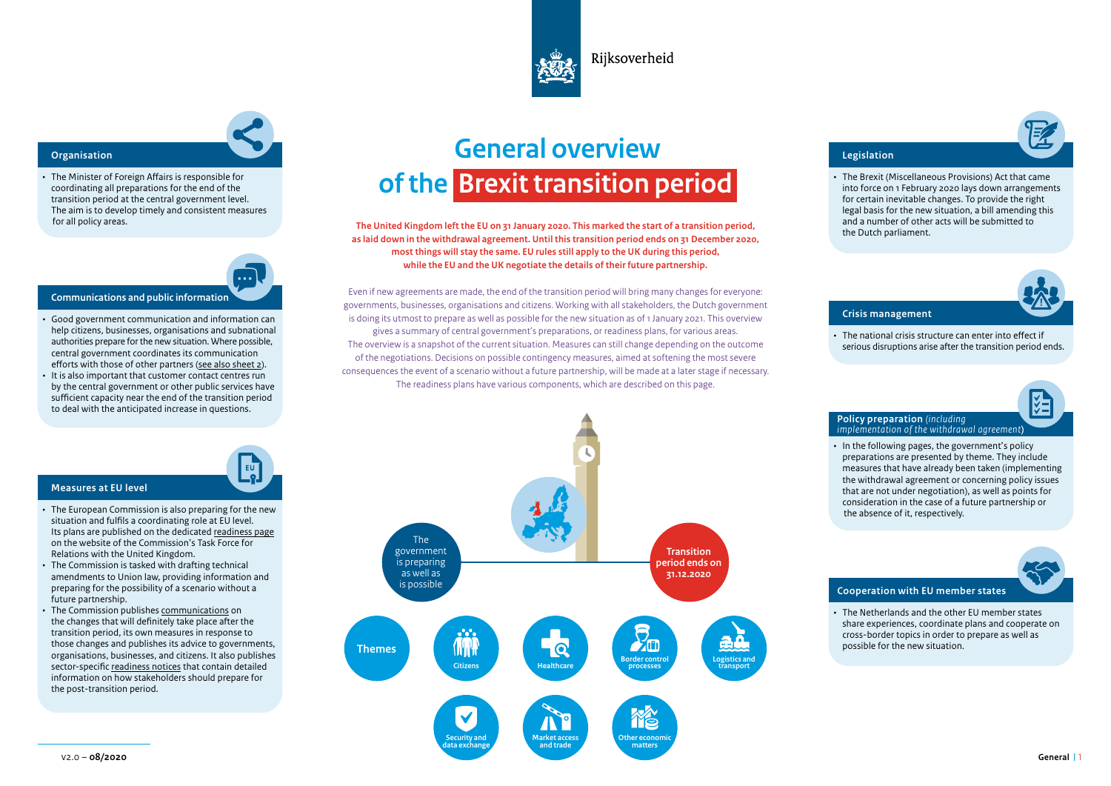

Riiksoverheid

• The Minister of Foreign Affairs is responsible for coordinating all preparations for the end of the transition period at the central government level. The aim is to develop timely and consistent measures for all policy areas.

EU<sup>T</sup>

- **Communications and public information**
- Good government communication and information can help citizens, businesses, organisations and subnational authorities prepare for the new situation. Where possible, central government coordinates its communication efforts with those of other partners [\(see also sheet 2](#page-1-0)).
- It is also important that customer contact centres run by the central government or other public services have sufficient capacity near the end of the transition period to deal with the anticipated increase in questions.

# **General overview of the Brexit transition period OURISED VIEW SERVICES AND RESERVE AND RESERVE AND RESERVE ASSOCIATE** AND RESERVE AND REGISTATION

**The United Kingdom left the EU on 31 January 2020. This marked the start of a transition period, as laid down in the withdrawal agreement. Until this transition period ends on 31 December 2020, most things will stay the same. EU rules still apply to the UK during this period, while the EU and the UK negotiate the details of their future partnership.**

Even if new agreements are made, the end of the transition period will bring many changes for everyone: governments, businesses, organisations and citizens. Working with all stakeholders, the Dutch government is doing its utmost to prepare as well as possible for the new situation as of 1 January 2021. This overview gives a summary of central government's preparations, or readiness plans, for various areas. The overview is a snapshot of the current situation. Measures can still change depending on the outcome of the negotiations. Decisions on possible contingency measures, aimed at softening the most severe consequences the event of a scenario without a future partnership, will be made at a later stage if necessary. The readiness plans have various components, which are described on this page.



• The Brexit (Miscellaneous Provisions) Act that came into force on 1 February 2020 lays down arrangements for certain inevitable changes. To provide the right legal basis for the new situation, a bill amending this and a number of other acts will be submitted to the Dutch parliament.

# **Crisis management**

• The national crisis structure can enter into effect if serious disruptions arise after the transition period ends.

# **Policy preparation** *(including implementation of the withdrawal agreement***)**

• In the following pages, the government's policy preparations are presented by theme. They include measures that have already been taken (implementing the withdrawal agreement or concerning policy issues that are not under negotiation), as well as points for consideration in the case of a future partnership or the absence of it, respectively.

# **Cooperation with EU member states**

• The Netherlands and the other EU member states share experiences, coordinate plans and cooperate on cross-border topics in order to prepare as well as possible for the new situation.

# **Measures at EU level**

- The European Commission is also preparing for the new situation and fulfils a coordinating role at EU level. Its plans are published on the dedicated [readiness page](https://ec.europa.eu/info/european-union-and-united-kingdom-forging-new-partnership/future-partnership/getting-ready-end-transition-period_en) on the website of the Commission's Task Force for Relations with the United Kingdom.
- The Commission is tasked with drafting technical amendments to Union law, providing information and preparing for the possibility of a scenario without a future partnership.
- The Commission publishes [communications](https://ec.europa.eu/info/sites/info/files/brexit_files/info_site/com_2020_324_2_communication_from_commission_to_inst_en_0.pdf) on the changes that will definitely take place after the transition period, its own measures in response to those changes and publishes its advice to governments, organisations, businesses, and citizens. It also publishes sector-specific [readiness notices](https://ec.europa.eu/info/european-union-and-united-kingdom-forging-new-partnership/future-partnership/getting-ready-end-transition-period_en#https://ec.europa.eu/info/european-union-and-united-kingdom-forging-new-partnership/future-partnership/getting-ready-end-transition-period_en) that contain detailed information on how stakeholders should prepare for the post-transition period.

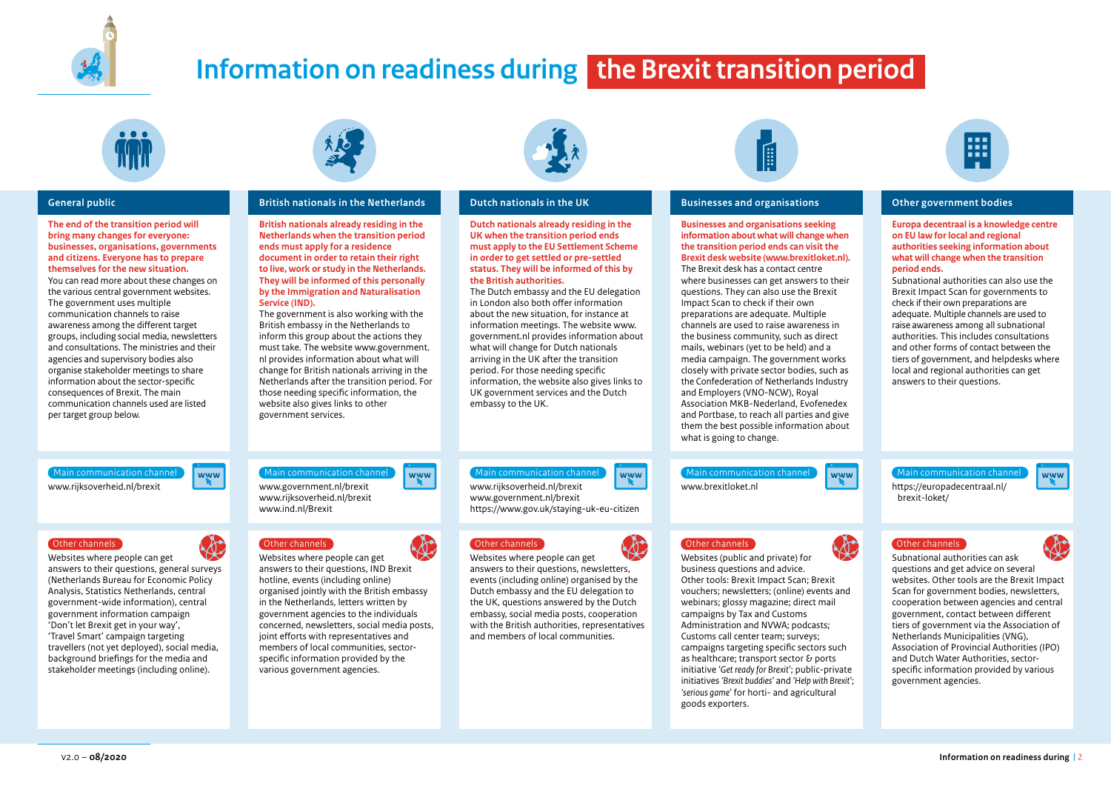<span id="page-1-0"></span>

# **Information on readiness during the Brexit transition period**



**The end of the transition period will bring many changes for everyone: businesses, organisations, governments and citizens. Everyone has to prepare themselves for the new situation.**  You can read more about these changes on the various central government websites. The government uses multiple communication channels to raise awareness among the different target groups, including social media, newsletters and consultations. The ministries and their agencies and supervisory bodies also organise stakeholder meetings to share information about the sector-specific consequences of Brexit. The main communication channels used are listed per target group below.



# **General public British nationals in the Netherlands Dutch nationals in the UK Businesses and organisations Dutch Public Constantinent bodies**

**British nationals already residing in the Netherlands when the transition period ends must apply for a residence document in order to retain their right to live, work or study in the Netherlands. They will be informed of this personally by the Immigration and Naturalisation Service (IND).** 

The government is also working with the British embassy in the Netherlands to inform this group about the actions they must take. The website www.government. nl provides information about what will change for British nationals arriving in the Netherlands after the transition period. For those needing specific information, the website also gives links to other government services.



**Dutch nationals already residing in the UK when the transition period ends must apply to the EU Settlement Scheme in order to get settled or pre-settled status. They will be informed of this by the British authorities.** 

The Dutch embassy and the EU delegation in London also both offer information about the new situation, for instance at information meetings. The website www. government.nl provides information about what will change for Dutch nationals arriving in the UK after the transition period. For those needing specific information, the website also gives links to UK government services and the Dutch embassy to the UK.



**Businesses and organisations seeking information about what will change when the transition period ends can visit the Brexit desk website (www.brexitloket.nl).**  The Brexit desk has a contact centre where businesses can get answers to their questions. They can also use the Brexit Impact Scan to check if their own preparations are adequate. Multiple channels are used to raise awareness in the business community, such as direct mails, webinars (yet to be held) and a media campaign. The government works closely with private sector bodies, such as the Confederation of Netherlands Industry and Employers (VNO-NCW), Royal Association MKB-Nederland, Evofenedex and Portbase, to reach all parties and give them the best possible information about what is going to change.



**Europa decentraal is a knowledge centre on EU law for local and regional authorities seeking information about what will change when the transition period ends.**

Subnational authorities can also use the Brexit Impact Scan for governments to check if their own preparations are adequate. Multiple channels are used to raise awareness among all subnational authorities. This includes consultations and other forms of contact between the tiers of government, and helpdesks where local and regional authorities can get answers to their questions.

When communication channel www.communication channel www.covernment.nl/brexit www.covernment.nl/brexit Main communication channel Way (Main communication channel Main communication channel Main communication channel Main communication channel Main communication channel Main communication channel Main communication channel M

Websites where people can get answers to their questions, general surveys (Netherlands Bureau for Economic Policy Analysis, Statistics Netherlands, central government-wide information), central government information campaign 'Don't let Brexit get in your way', 'Travel Smart' campaign targeting travellers (not yet deployed), social media, background briefings for the media and stakeholder meetings (including online).

www.rijksoverheid.nl/brexit www.ind.nl/Brexit



Websites where people can get answers to their questions, IND Brexit hotline, events (including online) organised jointly with the British embassy in the Netherlands, letters written by government agencies to the individuals concerned, newsletters, social media posts, joint efforts with representatives and members of local communities, sectorspecific information provided by the various government agencies.



www.rijksoverheid.nl/brexit www.government.nl/brexit

Websites where people can get answers to their questions, newsletters, events (including online) organised by the Dutch embassy and the EU delegation to the UK, questions answered by the Dutch embassy, social media posts, cooperation with the British authorities, representatives and members of local communities.

https://www.gov.uk/staying-uk-eu-citizen



Websites (public and private) for business questions and advice. Other tools: Brexit Impact Scan; Brexit vouchers; newsletters; (online) events and webinars; glossy magazine; direct mail campaigns by Tax and Customs Administration and NVWA; podcasts; Customs call center team; surveys; campaigns targeting specific sectors such as healthcare; transport sector & ports initiative *'Get ready for Brexit'*; public-private initiatives *'Brexit buddies'* and *'Help with Brexit'*; *'serious game'* for horti- and agricultural goods exporters.



brexit-loket/

Wain communication channel www.<br>www.brexitloket.nl https://europadecentraal.nl/



www

Subnational authorities can ask questions and get advice on several websites. Other tools are the Brexit Impact Scan for government bodies, newsletters, cooperation between agencies and central government, contact between different tiers of government via the Association of Netherlands Municipalities (VNG), Association of Provincial Authorities (IPO) and Dutch Water Authorities, sectorspecific information provided by various government agencies.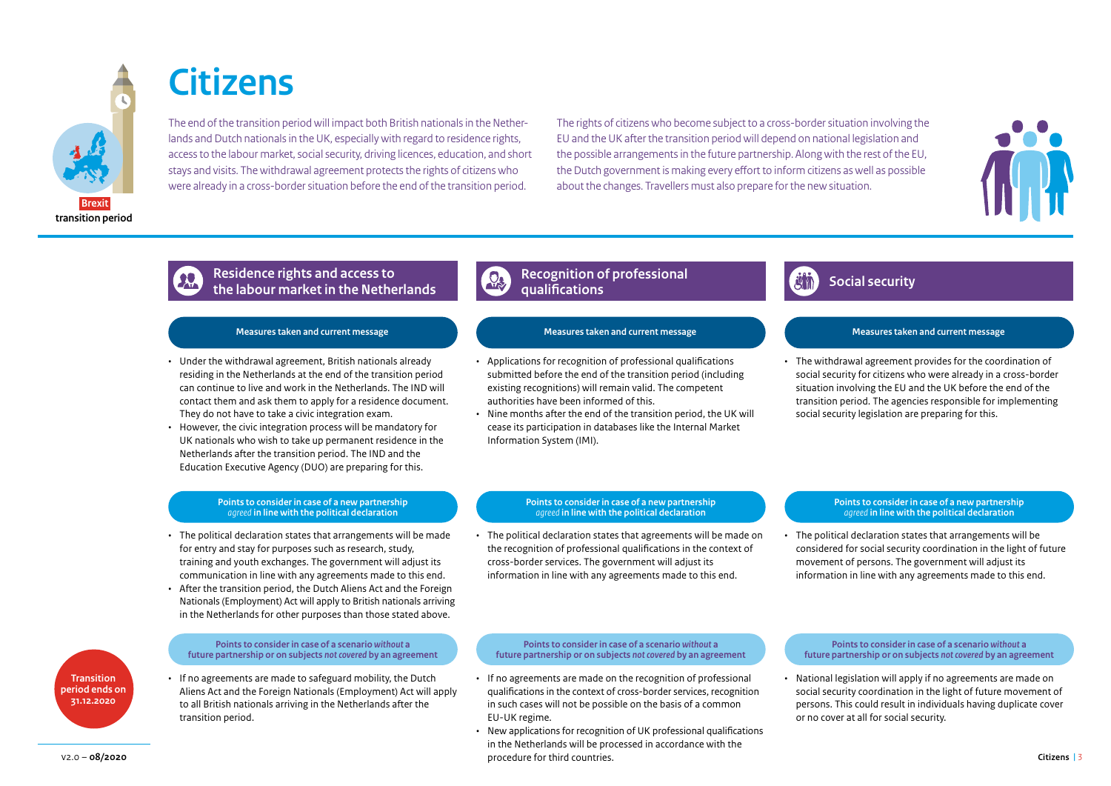

# **Citizens**

The end of the transition period will impact both British nationals in the Netherlands and Dutch nationals in the UK, especially with regard to residence rights, access to the labour market, social security, driving licences, education, and short stays and visits. The withdrawal agreement protects the rights of citizens who were already in a cross-border situation before the end of the transition period.

The rights of citizens who become subject to a cross-border situation involving the EU and the UK after the transition period will depend on national legislation and the possible arrangements in the future partnership. Along with the rest of the EU, the Dutch government is making every effort to inform citizens as well as possible about the changes. Travellers must also prepare for the new situation.



# **Social security Social security Residence rights and access to a security of**  $\mathbb{R}^n$  **Social security the labour market in the Netherlands**

- Under the withdrawal agreement, British nationals already residing in the Netherlands at the end of the transition period can continue to live and work in the Netherlands. The IND will contact them and ask them to apply for a residence document. They do not have to take a civic integration exam.
- However, the civic integration process will be mandatory for UK nationals who wish to take up permanent residence in the Netherlands after the transition period. The IND and the Education Executive Agency (DUO) are preparing for this.

# **Points to consider in case of a new partnership**  *agreed* **in line with the political declaration**

- The political declaration states that arrangements will be made for entry and stay for purposes such as research, study, training and youth exchanges. The government will adjust its communication in line with any agreements made to this end.
- After the transition period, the Dutch Aliens Act and the Foreign Nationals (Employment) Act will apply to British nationals arriving in the Netherlands for other purposes than those stated above.

# **Transition period ends on 31.12.2020**

### **Points to consider in case of a scenario** *without* **a future partnership or on subjects** *not covered* **by an agreement**

• If no agreements are made to safeguard mobility, the Dutch Aliens Act and the Foreign Nationals (Employment) Act will apply to all British nationals arriving in the Netherlands after the transition period.

# **Recognition of professional qualifications**

# **Measures taken and current message Measures taken and current message Measures taken and current message**

- Applications for recognition of professional qualifications submitted before the end of the transition period (including existing recognitions) will remain valid. The competent authorities have been informed of this.
- Nine months after the end of the transition period, the UK will cease its participation in databases like the Internal Market Information System (IMI).



• The withdrawal agreement provides for the coordination of social security for citizens who were already in a cross-border situation involving the EU and the UK before the end of the transition period. The agencies responsible for implementing social security legislation are preparing for this.

# **Points to consider in case of a new partnership**  *agreed* **in line with the political declaration**

• The political declaration states that agreements will be made on the recognition of professional qualifications in the context of cross-border services. The government will adjust its information in line with any agreements made to this end.

# **Points to consider in case of a new partnership**  *agreed* **in line with the political declaration**

• The political declaration states that arrangements will be considered for social security coordination in the light of future movement of persons. The government will adjust its information in line with any agreements made to this end.

# **Points to consider in case of a scenario** *without* **a future partnership or on subjects** *not covered* **by an agreement**

- If no agreements are made on the recognition of professional qualifications in the context of cross-border services, recognition in such cases will not be possible on the basis of a common EU-UK regime.
- New applications for recognition of UK professional qualifications in the Netherlands will be processed in accordance with the v2.0 – 08/2020 **Citizens Citizens 13.1 Citizens Citizens 13.1 Citizens Citizens Citizens Citizens 13.1 Citizens Citizens 13.1 Citizens Citizens 13.1 Citizens 13.1 Citizens 13.1 Citizens 13.1 C**

## **Points to consider in case of a scenario** *without* **a future partnership or on subjects** *not covered* **by an agreement**

• National legislation will apply if no agreements are made on social security coordination in the light of future movement of persons. This could result in individuals having duplicate cover or no cover at all for social security.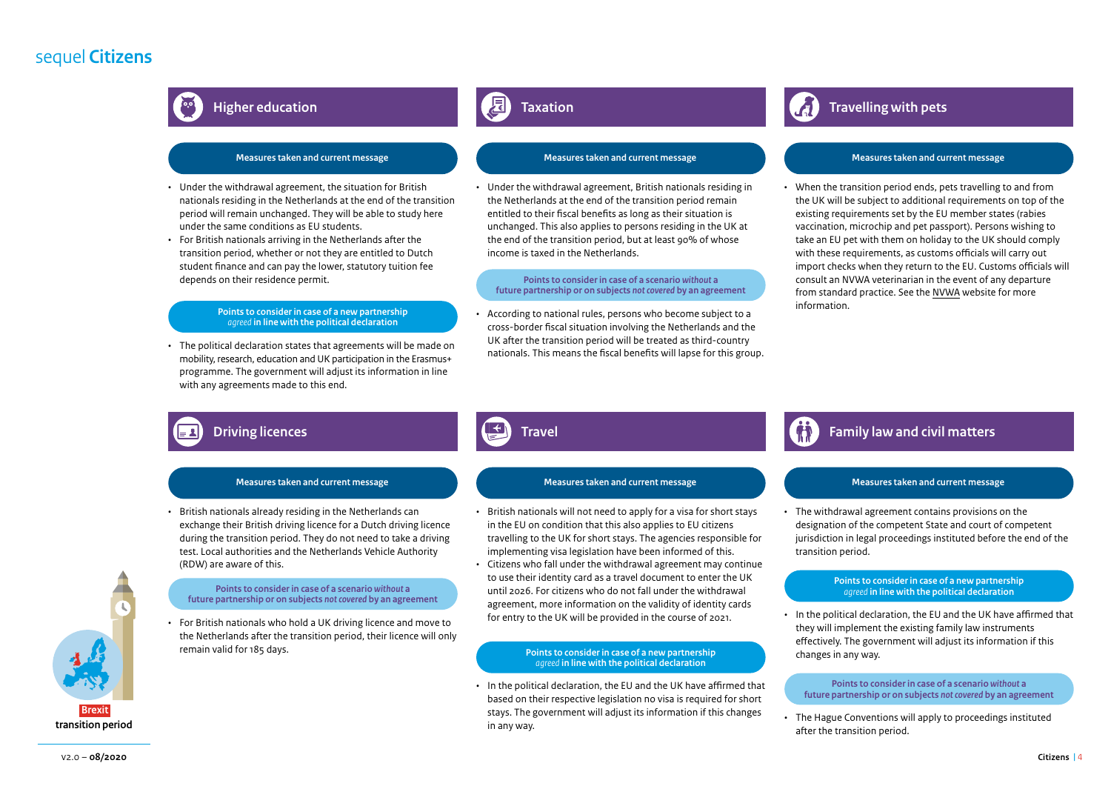# sequel **Citizens**



# **Higher education**

# **Measures taken and current message Measures taken and current message Measures taken and current message**

- Under the withdrawal agreement, the situation for British nationals residing in the Netherlands at the end of the transition period will remain unchanged. They will be able to study here under the same conditions as EU students.
- For British nationals arriving in the Netherlands after the transition period, whether or not they are entitled to Dutch student finance and can pay the lower, statutory tuition fee depends on their residence permit.

### **Points to consider in case of a new partnership**  *agreed* **in line with the political declaration**

mobility, research, education and UK participation in the Erasmus+ programme. The government will adjust its information in line with any agreements made to this end.

# **Taxation**

• Under the withdrawal agreement, British nationals residing in the Netherlands at the end of the transition period remain entitled to their fiscal benefits as long as their situation is unchanged. This also applies to persons residing in the UK at the end of the transition period, but at least 90% of whose income is taxed in the Netherlands.

## **Points to consider in case of a scenario** *without* **a future partnership or on subjects** *not covered* **by an agreement**

• According to national rules, persons who become subject to a cross-border fiscal situation involving the Netherlands and the UK after the transition period will be treated as third-country The political declaration states that agreements will be made on and the fiscal benefits will lapse for this group.<br>Intionals. This means the fiscal benefits will lapse for this group.

# **Travelling with pets**

• When the transition period ends, pets travelling to and from the UK will be subject to additional requirements on top of the existing requirements set by the EU member states (rabies vaccination, microchip and pet passport). Persons wishing to take an EU pet with them on holiday to the UK should comply with these requirements, as customs officials will carry out import checks when they return to the EU. Customs officials will consult an NVWA veterinarian in the event of any departure from standard practice. See the [NVWA](https://english.nvwa.nl/topics/brexit/taking-pets-to-and-from-the-united-kingdom-after-brexit) website for more information.

# **Driving licences**

• British nationals already residing in the Netherlands can exchange their British driving licence for a Dutch driving licence during the transition period. They do not need to take a driving test. Local authorities and the Netherlands Vehicle Authority (RDW) are aware of this.

# **future partnership or on subjects** *not covered* **by an agreement**

• For British nationals who hold a UK driving licence and move to the Netherlands after the transition period, their licence will only remain valid for 185 days.

# **Travel**

# **Measures taken and current message Measures taken and current message Measures taken and current message**

- British nationals will not need to apply for a visa for short stays in the EU on condition that this also applies to EU citizens travelling to the UK for short stays. The agencies responsible for implementing visa legislation have been informed of this.
- Citizens who fall under the withdrawal agreement may continue to use their identity card as a travel document to enter the UK to use their identity card as a travel document to enter the UK and Boints to consider in case of a new partnership<br>Points to consider in case of a scenario without a more until 2026. For citizens who do not fall under the agreement, more information on the validity of identity cards for entry to the UK will be provided in the course of 2021.

### **Points to consider in case of a new partnership**  *agreed* **in line with the political declaration**

• In the political declaration, the EU and the UK have affirmed that based on their respective legislation no visa is required for short stays. The government will adjust its information if this changes in any way.

# **Family law and civil matters**

• The withdrawal agreement contains provisions on the designation of the competent State and court of competent jurisdiction in legal proceedings instituted before the end of the transition period.

• In the political declaration, the EU and the UK have affirmed that they will implement the existing family law instruments effectively. The government will adjust its information if this changes in any way.

### **Points to consider in case of a scenario** *without* **a future partnership or on subjects** *not covered* **by an agreement**

• The Hague Conventions will apply to proceedings instituted after the transition period.

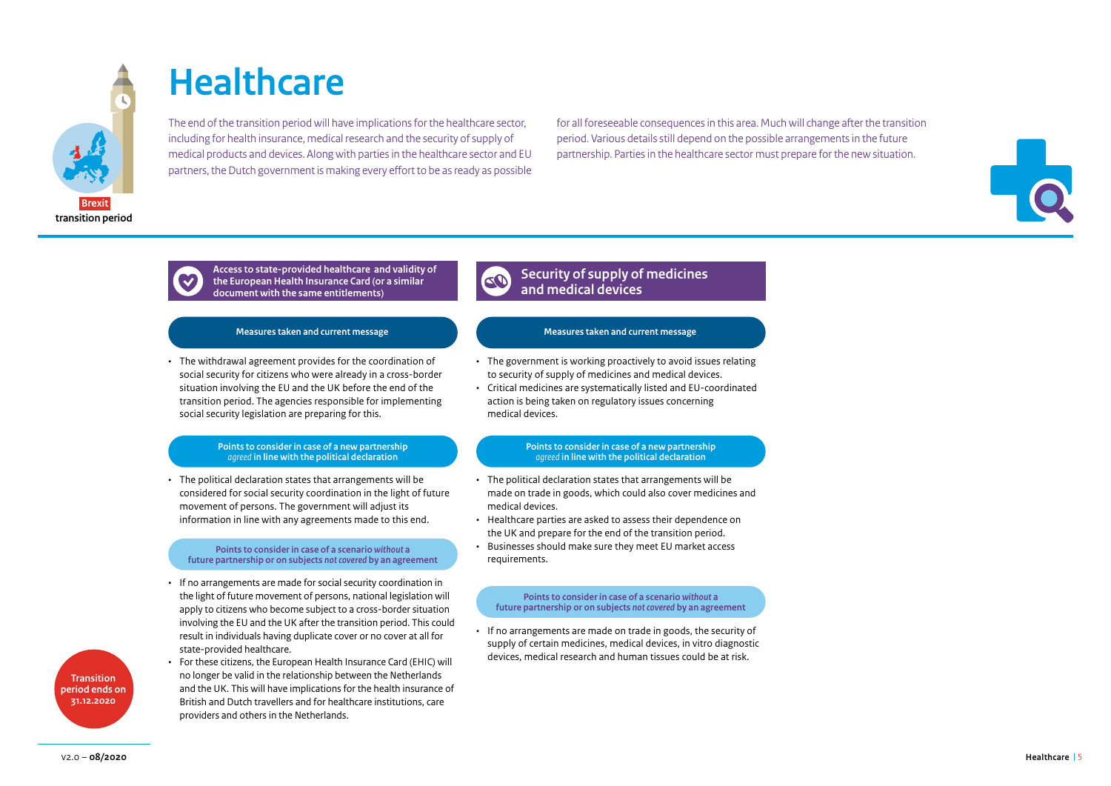

# **Healthcare**

The end of the transition period will have implications for the healthcare sector, including for health insurance, medical research and the security of supply of medical products and devices. Along with parties in the healthcare sector and EU partners, the Dutch government is making every effort to be as ready as possible for all foreseeable consequences in this area. Much will change after the transition period. Various details still depend on the possible arrangements in the future partnership. Parties in the healthcare sector must prepare for the new situation.





**Access to state-provided healthcare and validity of the European Health Insurance Card (or a similar document with the same entitlements)**

• The withdrawal agreement provides for the coordination of social security for citizens who were already in a cross-border situation involving the EU and the UK before the end of the transition period. The agencies responsible for implementing social security legislation are preparing for this.

### **Points to consider in case of a new partnership**  *agreed* **in line with the political declaration**

• The political declaration states that arrangements will be considered for social security coordination in the light of future movement of persons. The government will adjust its information in line with any agreements made to this end.

# **Points to consider in case of a scenario** *without* **a future partnership or on subjects** *not covered* **by an agreement**

- If no arrangements are made for social security coordination in the light of future movement of persons, national legislation will apply to citizens who become subject to a cross-border situation involving the EU and the UK after the transition period. This could result in individuals having duplicate cover or no cover at all for state-provided healthcare.
- For these citizens, the European Health Insurance Card (EHIC) will no longer be valid in the relationship between the Netherlands and the UK. This will have implications for the health insurance of British and Dutch travellers and for healthcare institutions, care providers and others in the Netherlands.

## **Security of supply of medicines**  CO **and medical devices**

# **Measures taken and current message Measures taken and current message**

- The government is working proactively to avoid issues relating to security of supply of medicines and medical devices.
- Critical medicines are systematically listed and EU-coordinated action is being taken on regulatory issues concerning medical devices.

# **Points to consider in case of a new partnership**  *agreed* **in line with the political declaration**

- The political declaration states that arrangements will be made on trade in goods, which could also cover medicines and medical devices.
- Healthcare parties are asked to assess their dependence on the UK and prepare for the end of the transition period.
- Businesses should make sure they meet EU market access requirements.

# **Points to consider in case of a scenario** *without* **a future partnership or on subjects** *not covered* **by an agreement**

• If no arrangements are made on trade in goods, the security of supply of certain medicines, medical devices, in vitro diagnostic devices, medical research and human tissues could be at risk.

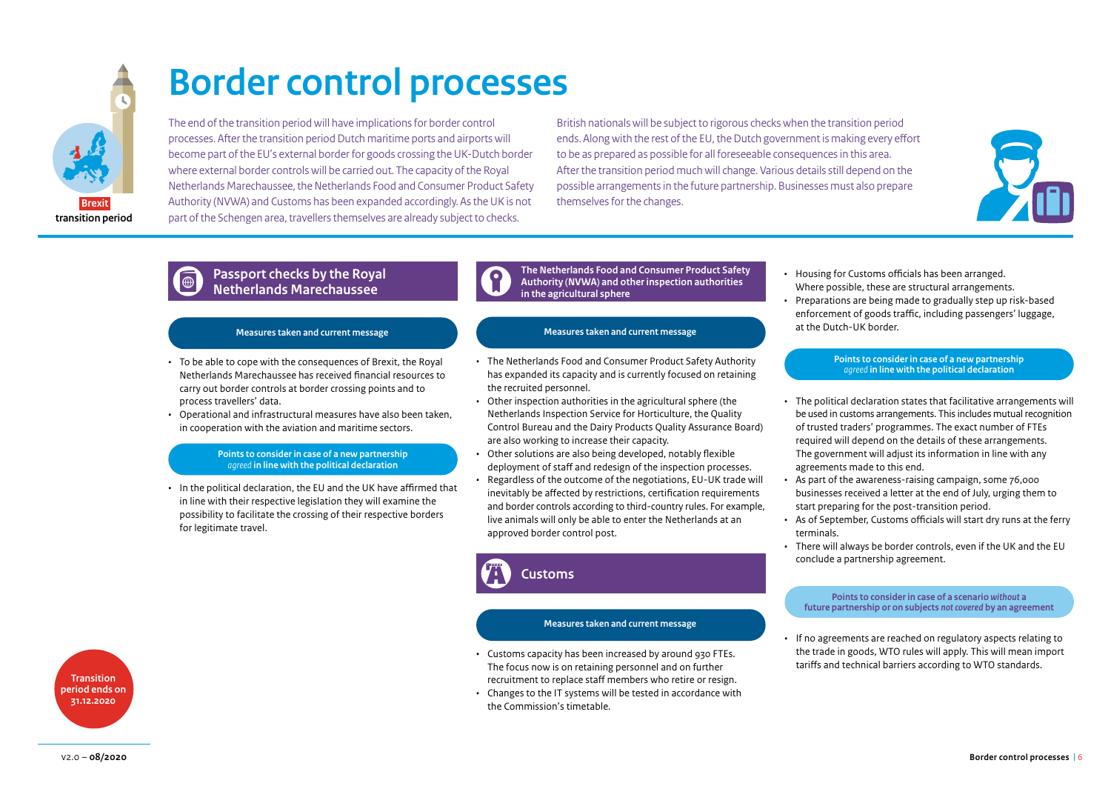

# **Border control processes**

The end of the transition period will have implications for border control processes. After the transition period Dutch maritime ports and airports will become part of the EU's external border for goods crossing the UK-Dutch border where external border controls will be carried out. The capacity of the Royal Netherlands Marechaussee, the Netherlands Food and Consumer Product Safety Authority (NVWA) and Customs has been expanded accordingly. As the UK is not part of the Schengen area, travellers themselves are already subject to checks.

British nationals will be subject to rigorous checks when the transition period ends. Along with the rest of the EU, the Dutch government is making every effort to be as prepared as possible for all foreseeable consequences in this area. After the transition period much will change. Various details still depend on the possible arrangements in the future partnership. Businesses must also prepare themselves for the changes.



# **Passport checks by the Royal Netherlands Marechaussee**

# **Measures taken and current message**

- To be able to cope with the consequences of Brexit, the Royal Netherlands Marechaussee has received financial resources to carry out border controls at border crossing points and to process travellers' data.
- Operational and infrastructural measures have also been taken, in cooperation with the aviation and maritime sectors.

# **Points to consider in case of a new partnership**  *agreed* **in line with the political declaration**

• In the political declaration, the EU and the UK have affirmed that in line with their respective legislation they will examine the possibility to facilitate the crossing of their respective borders for legitimate travel.



**The Netherlands Food and Consumer Product Safety Authority (NVWA) and other inspection authorities in the agricultural sphere**

# **Measures taken and current message**

- The Netherlands Food and Consumer Product Safety Authority has expanded its capacity and is currently focused on retaining the recruited personnel.
- Other inspection authorities in the agricultural sphere (the Netherlands Inspection Service for Horticulture, the Quality Control Bureau and the Dairy Products Quality Assurance Board) are also working to increase their capacity.
- Other solutions are also being developed, notably flexible deployment of staff and redesign of the inspection processes.
- Regardless of the outcome of the negotiations, EU-UK trade will inevitably be affected by restrictions, certification requirements and border controls according to third-country rules. For example, live animals will only be able to enter the Netherlands at an approved border control post.

**Customs**

# **Measures taken and current message**

- Customs capacity has been increased by around 930 FTEs. The focus now is on retaining personnel and on further recruitment to replace staff members who retire or resign.
- Changes to the IT systems will be tested in accordance with the Commission's timetable.
- Housing for Customs officials has been arranged. Where possible, these are structural arrangements.
- Preparations are being made to gradually step up risk-based enforcement of goods traffic, including passengers' luggage, at the Dutch-UK border.

## **Points to consider in case of a new partnership**  *agreed* **in line with the political declaration**

- The political declaration states that facilitative arrangements will be used in customs arrangements. This includes mutual recognition of trusted traders' programmes. The exact number of FTEs required will depend on the details of these arrangements. The government will adjust its information in line with any agreements made to this end.
- As part of the awareness-raising campaign, some 76,000 businesses received a letter at the end of July, urging them to start preparing for the post-transition period.
- As of September, Customs officials will start dry runs at the ferry terminals.
- There will always be border controls, even if the UK and the EU conclude a partnership agreement.

**Points to consider in case of a scenario** *without* **a future partnership or on subjects** *not covered* **by an agreement**

• If no agreements are reached on regulatory aspects relating to the trade in goods, WTO rules will apply. This will mean import tariffs and technical barriers according to WTO standards.

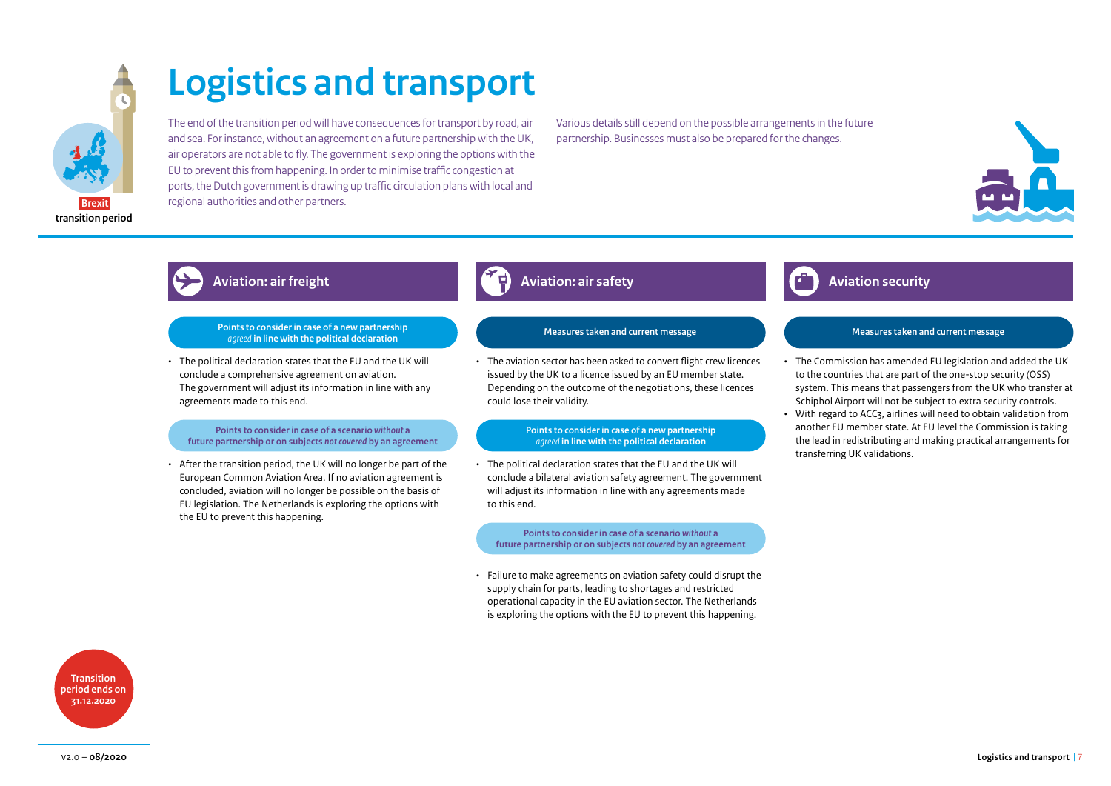

# **Logistics and transport**

The end of the transition period will have consequences for transport by road, air and sea. For instance, without an agreement on a future partnership with the UK, air operators are not able to fly. The government is exploring the options with the EU to prevent this from happening. In order to minimise traffic congestion at ports, the Dutch government is drawing up traffic circulation plans with local and regional authorities and other partners.

Various details still depend on the possible arrangements in the future partnership. Businesses must also be prepared for the changes.



## **Points to consider in case of a new partnership**  *agreed* **in line with the political declaration**

• The political declaration states that the EU and the UK will conclude a comprehensive agreement on aviation. The government will adjust its information in line with any agreements made to this end.

# **Points to consider in case of a scenario** *without* **a future partnership or on subjects** *not covered* **by an agreement**

• After the transition period, the UK will no longer be part of the European Common Aviation Area. If no aviation agreement is concluded, aviation will no longer be possible on the basis of EU legislation. The Netherlands is exploring the options with the EU to prevent this happening.

# **Aviation: air freight Aviation: air safety Aviation security**

# **Measures taken and current message Measures taken and current message**

• The aviation sector has been asked to convert flight crew licences issued by the UK to a licence issued by an EU member state. Depending on the outcome of the negotiations, these licences could lose their validity.

# **Points to consider in case of a new partnership**  *agreed* **in line with the political declaration**

• The political declaration states that the EU and the UK will conclude a bilateral aviation safety agreement. The government will adjust its information in line with any agreements made to this end.

**Points to consider in case of a scenario** *without* **a future partnership or on subjects** *not covered* **by an agreement** 

• Failure to make agreements on aviation safety could disrupt the supply chain for parts, leading to shortages and restricted operational capacity in the EU aviation sector. The Netherlands is exploring the options with the EU to prevent this happening.

- The Commission has amended EU legislation and added the UK to the countries that are part of the one-stop security (OSS) system. This means that passengers from the UK who transfer at Schiphol Airport will not be subject to extra security controls.
- With regard to ACC3, airlines will need to obtain validation from another EU member state. At EU level the Commission is taking the lead in redistributing and making practical arrangements for transferring UK validations.

**Transition period ends on 31.12.2020**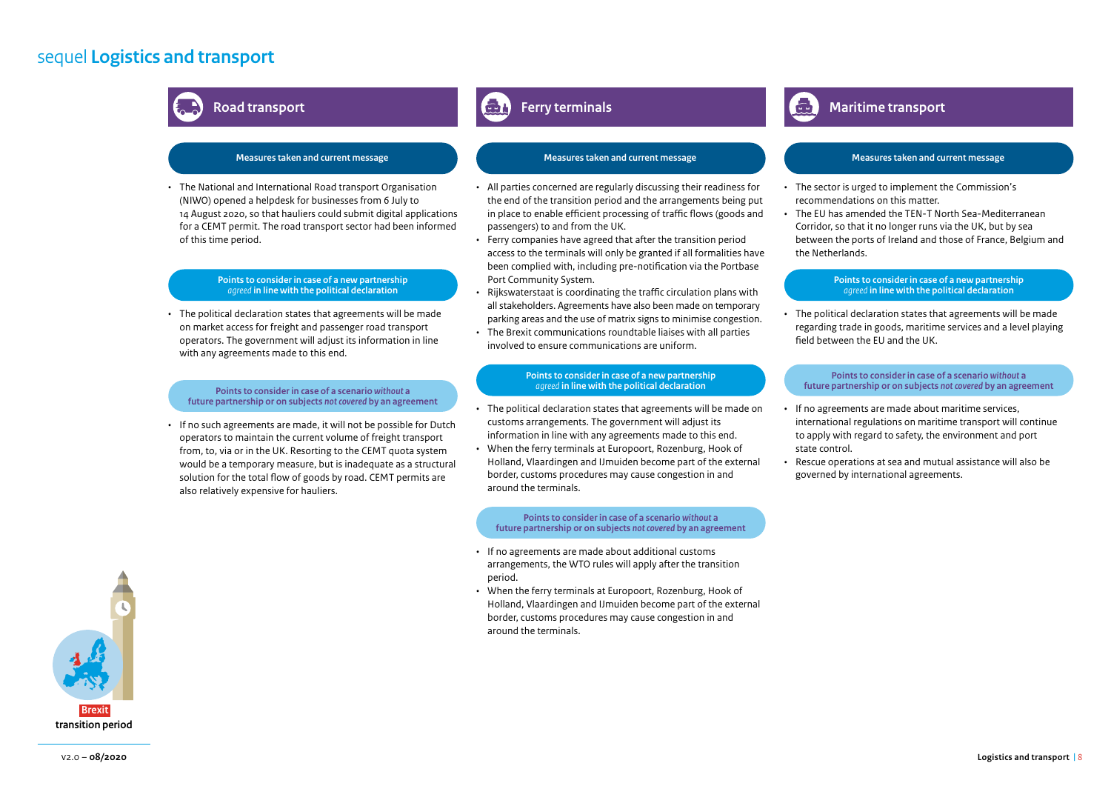# sequel **Logistics and transport**



# **Road transport Ferry terminals Ferry terminals Ferry terminals Ferry terminals Ferry terminals Maritime transport**

• The National and International Road transport Organisation (NIWO) opened a helpdesk for businesses from 6 July to 14 August 2020, so that hauliers could submit digital applications for a CEMT permit. The road transport sector had been informed of this time period.

# **Points to consider in case of a new partnership**  *agreed* **in line with the political declaration**

• The political declaration states that agreements will be made on market access for freight and passenger road transport operators. The government will adjust its information in line with any agreements made to this end.

### **Points to consider in case of a scenario** *without* **a future partnership or on subjects** *not covered* **by an agreement**

• If no such agreements are made, it will not be possible for Dutch operators to maintain the current volume of freight transport from, to, via or in the UK. Resorting to the CEMT quota system would be a temporary measure, but is inadequate as a structural solution for the total flow of goods by road. CEMT permits are also relatively expensive for hauliers.

- All parties concerned are regularly discussing their readiness for the end of the transition period and the arrangements being put in place to enable efficient processing of traffic flows (goods and passengers) to and from the UK.
- Ferry companies have agreed that after the transition period access to the terminals will only be granted if all formalities have been complied with, including pre-notification via the Portbase Port Community System.
- Rijkswaterstaat is coordinating the traffic circulation plans with all stakeholders. Agreements have also been made on temporary parking areas and the use of matrix signs to minimise congestion.
- The Brexit communications roundtable liaises with all parties involved to ensure communications are uniform.

### **Points to consider in case of a new partnership**  *agreed* **in line with the political declaration**

- The political declaration states that agreements will be made on customs arrangements. The government will adjust its information in line with any agreements made to this end.
- When the ferry terminals at Europoort, Rozenburg, Hook of Holland, Vlaardingen and IJmuiden become part of the external border, customs procedures may cause congestion in and around the terminals.

**Points to consider in case of a scenario** *without* **a future partnership or on subjects** *not covered* **by an agreement**

- If no agreements are made about additional customs arrangements, the WTO rules will apply after the transition period.
- When the ferry terminals at Europoort, Rozenburg, Hook of Holland, Vlaardingen and IJmuiden become part of the external border, customs procedures may cause congestion in and around the terminals.

# **Measures taken and current message Measures taken and current message Measures taken and current message**

- The sector is urged to implement the Commission's recommendations on this matter.
- The EU has amended the TEN-T North Sea-Mediterranean Corridor, so that it no longer runs via the UK, but by sea between the ports of Ireland and those of France, Belgium and the Netherlands.

### **Points to consider in case of a new partnership**  *agreed* **in line with the political declaration**

• The political declaration states that agreements will be made regarding trade in goods, maritime services and a level playing field between the EU and the UK.

**Points to consider in case of a scenario** *without* **a future partnership or on subjects** *not covered* **by an agreement**

- If no agreements are made about maritime services, international regulations on maritime transport will continue to apply with regard to safety, the environment and port state control.
- Rescue operations at sea and mutual assistance will also be governed by international agreements.

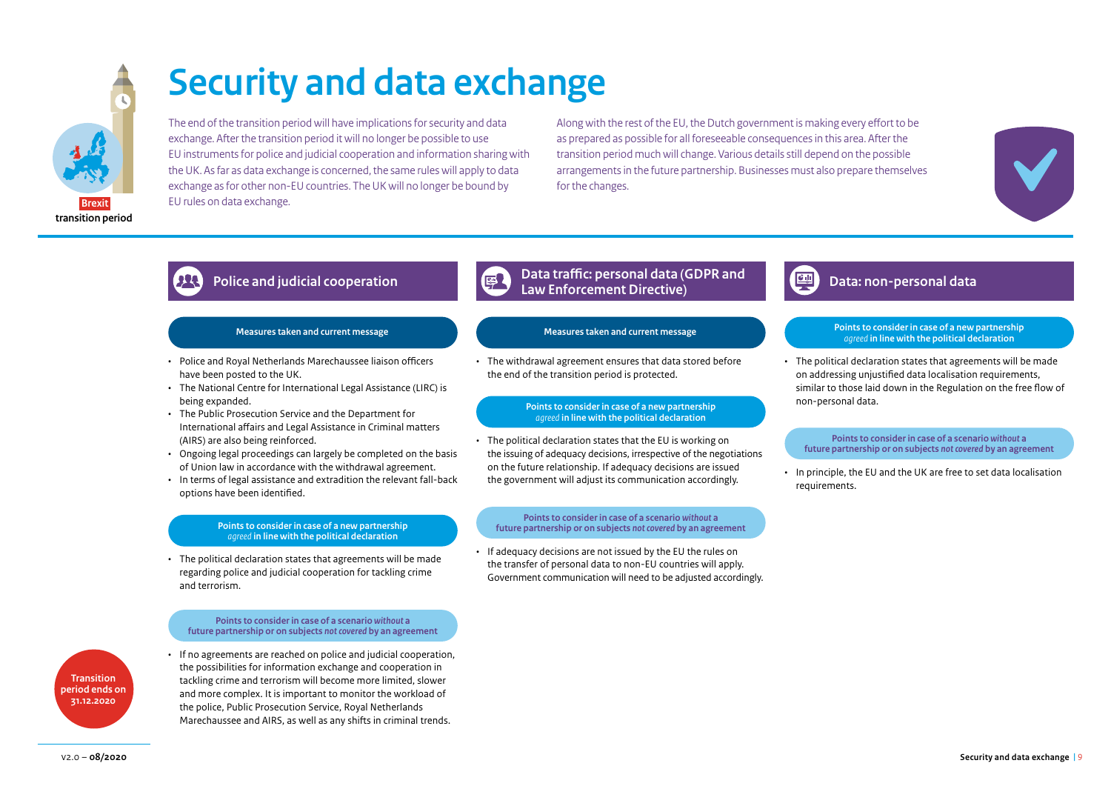

# **Security and data exchange**

The end of the transition period will have implications for security and data exchange. After the transition period it will no longer be possible to use EU instruments for police and judicial cooperation and information sharing with the UK. As far as data exchange is concerned, the same rules will apply to data exchange as for other non-EU countries. The UK will no longer be bound by EU rules on data exchange.

Along with the rest of the EU, the Dutch government is making every effort to be as prepared as possible for all foreseeable consequences in this area. After the transition period much will change. Various details still depend on the possible arrangements in the future partnership. Businesses must also prepare themselves for the changes.

# **Police and judicial cooperation Data traffic: personal data (GDPR and Direct and judicial cooperation**

# **Measures taken and current message Measures taken and current message**

- Police and Royal Netherlands Marechaussee liaison officers have been posted to the UK.
- The National Centre for International Legal Assistance (LIRC) is being expanded.
- The Public Prosecution Service and the Department for International affairs and Legal Assistance in Criminal matters (AIRS) are also being reinforced.
- Ongoing legal proceedings can largely be completed on the basis of Union law in accordance with the withdrawal agreement.
- In terms of legal assistance and extradition the relevant fall-back options have been identified.

# **Points to consider in case of a new partnership**  *agreed* **in line with the political declaration**

• The political declaration states that agreements will be made regarding police and judicial cooperation for tackling crime and terrorism.

**Points to consider in case of a scenario** *without* **a future partnership or on subjects** *not covered* **by an agreement**



• If no agreements are reached on police and judicial cooperation, the possibilities for information exchange and cooperation in tackling crime and terrorism will become more limited, slower and more complex. It is important to monitor the workload of the police, Public Prosecution Service, Royal Netherlands Marechaussee and AIRS, as well as any shifts in criminal trends.

• The withdrawal agreement ensures that data stored before the end of the transition period is protected.

# **Points to consider in case of a new partnership**  *agreed* **in line with the political declaration**

• The political declaration states that the EU is working on the issuing of adequacy decisions, irrespective of the negotiations on the future relationship. If adequacy decisions are issued the government will adjust its communication accordingly.

# **Points to consider in case of a scenario** *without* **a future partnership or on subjects** *not covered* **by an agreement**

• If adequacy decisions are not issued by the EU the rules on the transfer of personal data to non-EU countries will apply. Government communication will need to be adjusted accordingly.

# **Law Enforcement Directive) Data: non-personal data**

### **Points to consider in case of a new partnership**  *agreed* **in line with the political declaration**

• The political declaration states that agreements will be made on addressing unjustified data localisation requirements, similar to those laid down in the Regulation on the free flow of non-personal data.

**Points to consider in case of a scenario** *without* **a future partnership or on subjects** *not covered* **by an agreement**

• In principle, the EU and the UK are free to set data localisation requirements.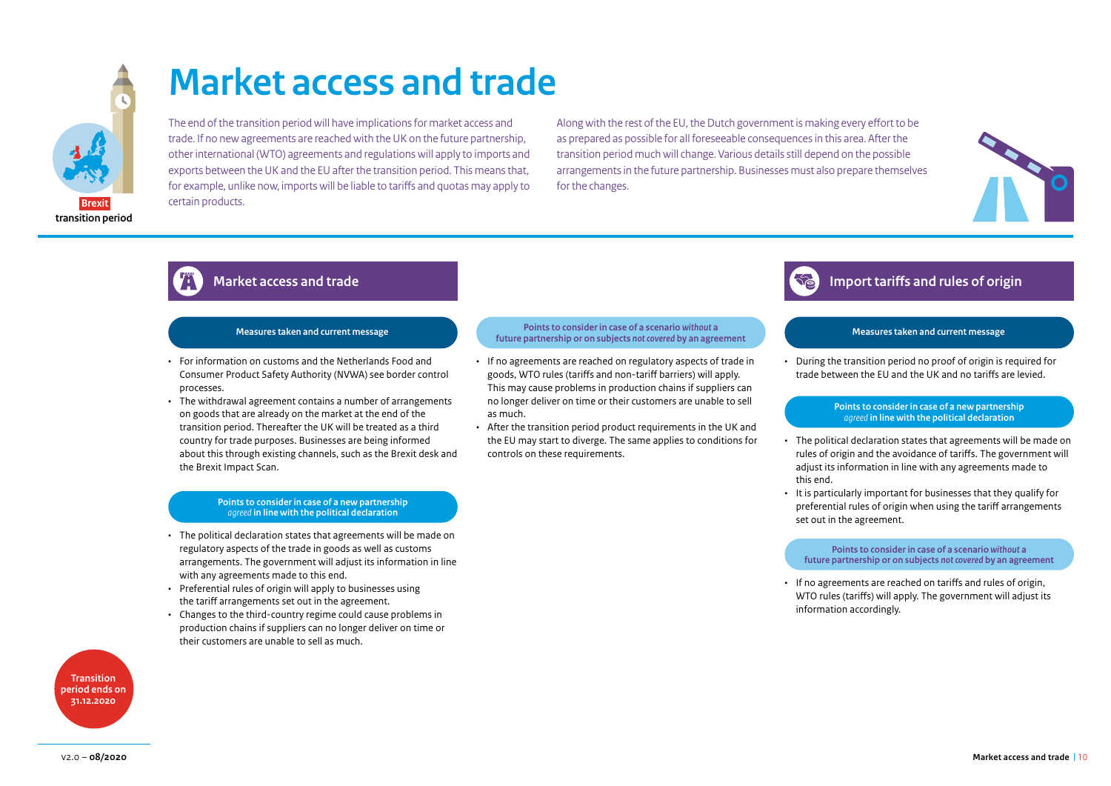

# **Market access and trade**

The end of the transition period will have implications for market access and trade. If no new agreements are reached with the UK on the future partnership, other international (WTO) agreements and regulations will apply to imports and exports between the UK and the EU after the transition period. This means that, for example, unlike now, imports will be liable to tariffs and quotas may apply to certain products.

Along with the rest of the EU, the Dutch government is making every effort to be as prepared as possible for all foreseeable consequences in this area. After the transition period much will change. Various details still depend on the possible arrangements in the future partnership. Businesses must also prepare themselves for the changes.



# **Measures taken and current message**

- For information on customs and the Netherlands Food and Consumer Product Safety Authority (NVWA) see border control processes.
- The withdrawal agreement contains a number of arrangements on goods that are already on the market at the end of the transition period. Thereafter the UK will be treated as a third country for trade purposes. Businesses are being informed about this through existing channels, such as the Brexit desk and the Brexit Impact Scan.

# **Points to consider in case of a new partnership**  *agreed* **in line with the political declaration**

- The political declaration states that agreements will be made on regulatory aspects of the trade in goods as well as customs arrangements. The government will adjust its information in line with any agreements made to this end.
- Preferential rules of origin will apply to businesses using the tariff arrangements set out in the agreement.
- Changes to the third-country regime could cause problems in production chains if suppliers can no longer deliver on time or their customers are unable to sell as much.

**Transition period ends on 31.12.2020**

## **Points to consider in case of a scenario** *without* **a future partnership or on subjects** *not covered* **by an agreement**

- If no agreements are reached on regulatory aspects of trade in goods, WTO rules (tariffs and non-tariff barriers) will apply. This may cause problems in production chains if suppliers can no longer deliver on time or their customers are unable to sell as much.
- After the transition period product requirements in the UK and the EU may start to diverge. The same applies to conditions for controls on these requirements.



# **Measures taken and current message**

• During the transition period no proof of origin is required for trade between the EU and the UK and no tariffs are levied.

## **Points to consider in case of a new partnership**  *agreed* **in line with the political declaration**

- The political declaration states that agreements will be made on rules of origin and the avoidance of tariffs. The government will adjust its information in line with any agreements made to this end.
- It is particularly important for businesses that they qualify for preferential rules of origin when using the tariff arrangements set out in the agreement.

**Points to consider in case of a scenario** *without* **a future partnership or on subjects** *not covered* **by an agreement**

• If no agreements are reached on tariffs and rules of origin, WTO rules (tariffs) will apply. The government will adjust its information accordingly.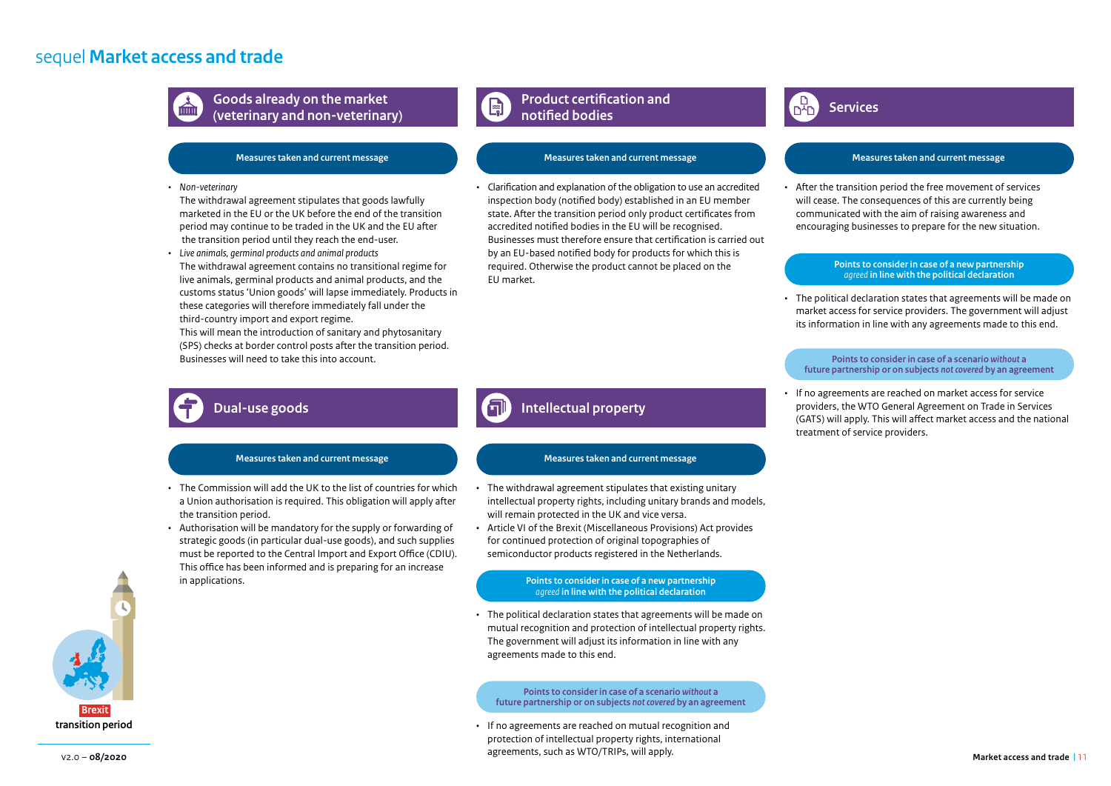# sequel **Market access and trade**



**Goods already on the market (veterinary and non-veterinary)**

# **Measures taken and current message**

# *• Non-veterinary*

The withdrawal agreement stipulates that goods lawfully marketed in the EU or the UK before the end of the transition period may continue to be traded in the UK and the EU after the transition period until they reach the end-user.

*• Live animals, germinal products and animal products* The withdrawal agreement contains no transitional regime for live animals, germinal products and animal products, and the customs status 'Union goods' will lapse immediately. Products in these categories will therefore immediately fall under the third-country import and export regime. This will mean the introduction of sanitary and phytosanitary

(SPS) checks at border control posts after the transition period. Businesses will need to take this into account.

### **Product certification and**   $E_{\overline{5}}$ **notified bodies**

# **Measures taken and current message**

• Clarification and explanation of the obligation to use an accredited inspection body (notified body) established in an EU member state. After the transition period only product certificates from accredited notified bodies in the EU will be recognised. Businesses must therefore ensure that certification is carried out by an EU-based notified body for products for which this is required. Otherwise the product cannot be placed on the EU market.

# **Services**

# **Measures taken and current message**

• After the transition period the free movement of services will cease. The consequences of this are currently being communicated with the aim of raising awareness and encouraging businesses to prepare for the new situation.

### **Points to consider in case of a new partnership**  *agreed* **in line with the political declaration**

• The political declaration states that agreements will be made on market access for service providers. The government will adjust its information in line with any agreements made to this end.

### **Points to consider in case of a scenario** *without* **a future partnership or on subjects** *not covered* **by an agreement**

• If no agreements are reached on market access for service providers, the WTO General Agreement on Trade in Services (GATS) will apply. This will affect market access and the national treatment of service providers.

# **Dual-use goods**

# **Measures taken and current message**

- The Commission will add the UK to the list of countries for which a Union authorisation is required. This obligation will apply after the transition period.
- Authorisation will be mandatory for the supply or forwarding of strategic goods (in particular dual-use goods), and such supplies must be reported to the Central Import and Export Office (CDIU). This office has been informed and is preparing for an increase in applications.

# **Intellectual property**

# **Measures taken and current message**

- The withdrawal agreement stipulates that existing unitary intellectual property rights, including unitary brands and models, will remain protected in the UK and vice versa.
- Article VI of the Brexit (Miscellaneous Provisions) Act provides for continued protection of original topographies of semiconductor products registered in the Netherlands.

## **Points to consider in case of a new partnership**  *agreed* **in line with the political declaration**

• The political declaration states that agreements will be made on mutual recognition and protection of intellectual property rights. The government will adjust its information in line with any agreements made to this end.

**Points to consider in case of a scenario** *without* **a future partnership or on subjects** *not covered* **by an agreement**

• If no agreements are reached on mutual recognition and protection of intellectual property rights, international agreements, such as WTO/TRIPs, will apply.

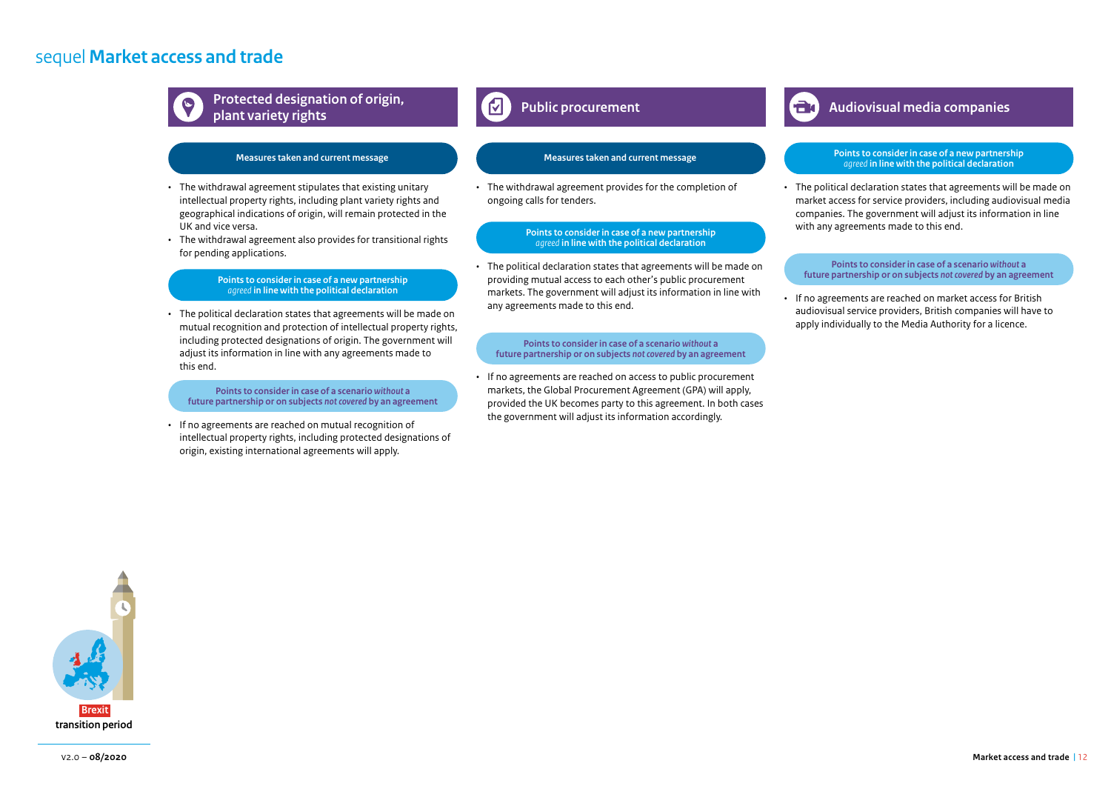# sequel **Market access and trade**



**Protected designation of origin,** *Audiovisual media companies* **<b>Audiovisual media companies plant variety rights**

- The withdrawal agreement stipulates that existing unitary intellectual property rights, including plant variety rights and geographical indications of origin, will remain protected in the UK and vice versa.
- The withdrawal agreement also provides for transitional rights for pending applications.

## **Points to consider in case of a new partnership**  *agreed* **in line with the political declaration**

• The political declaration states that agreements will be made on mutual recognition and protection of intellectual property rights, including protected designations of origin. The government will adjust its information in line with any agreements made to this end.

**Points to consider in case of a scenario** *without* **a future partnership or on subjects** *not covered* **by an agreement**

• If no agreements are reached on mutual recognition of intellectual property rights, including protected designations of origin, existing international agreements will apply.

# **Measures taken and current message Measures taken and current message**

• The withdrawal agreement provides for the completion of ongoing calls for tenders.

### **Points to consider in case of a new partnership**  *agreed* **in line with the political declaration**

• The political declaration states that agreements will be made on providing mutual access to each other's public procurement markets. The government will adjust its information in line with any agreements made to this end.

## **Points to consider in case of a scenario** *without* **a future partnership or on subjects** *not covered* **by an agreement**

If no agreements are reached on access to public procurement markets, the Global Procurement Agreement (GPA) will apply, provided the UK becomes party to this agreement. In both cases the government will adjust its information accordingly.

### **Points to consider in case of a new partnership**  *agreed* **in line with the political declaration**

• The political declaration states that agreements will be made on market access for service providers, including audiovisual media companies. The government will adjust its information in line with any agreements made to this end.

### **Points to consider in case of a scenario** *without* **a future partnership or on subjects** *not covered* **by an agreement**

• If no agreements are reached on market access for British audiovisual service providers, British companies will have to apply individually to the Media Authority for a licence.

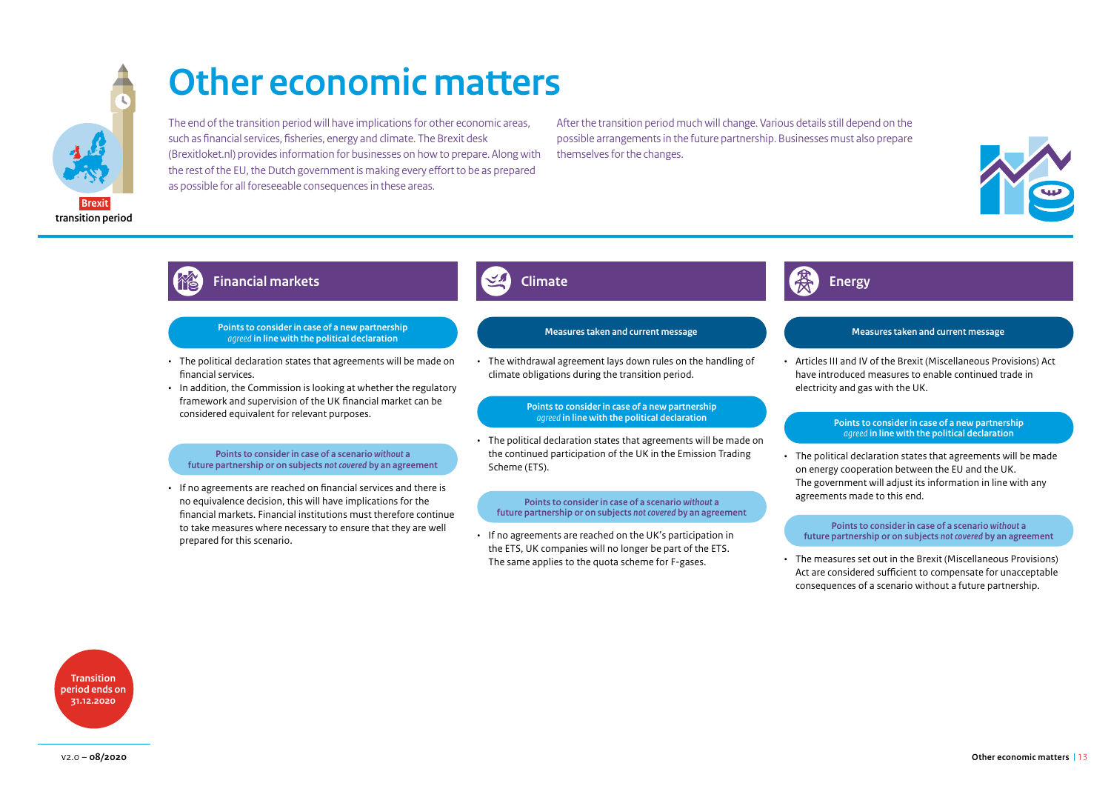

# **Other economic matters**

The end of the transition period will have implications for other economic areas, such as financial services, fisheries, energy and climate. The Brexit desk (Brexitloket.nl) provides information for businesses on how to prepare. Along with the rest of the EU, the Dutch government is making every effort to be as prepared as possible for all foreseeable consequences in these areas.

After the transition period much will change. Various details still depend on the possible arrangements in the future partnership. Businesses must also prepare themselves for the changes.



# **Financial markets Climate Energy Climate Energy**

## **Points to consider in case of a new partnership**  *agreed* **in line with the political declaration**

- The political declaration states that agreements will be made on financial services.
- In addition, the Commission is looking at whether the regulatory framework and supervision of the UK financial market can be considered equivalent for relevant purposes.

## **Points to consider in case of a scenario** *without* **a future partnership or on subjects** *not covered* **by an agreement**

• If no agreements are reached on financial services and there is no equivalence decision, this will have implications for the financial markets. Financial institutions must therefore continue to take measures where necessary to ensure that they are well prepared for this scenario.

• The withdrawal agreement lays down rules on the handling of climate obligations during the transition period.

# **Points to consider in case of a new partnership**

• The political declaration states that agreements will be made on the continued participation of the UK in the Emission Trading Scheme (ETS).

**Points to consider in case of a scenario** *without* **a future partnership or on subjects** *not covered* **by an agreement**

• If no agreements are reached on the UK's participation in the ETS, UK companies will no longer be part of the ETS.

# **Measures taken and current message Measures taken and current message**

• Articles III and IV of the Brexit (Miscellaneous Provisions) Act have introduced measures to enable continued trade in electricity and gas with the UK.

# **Points to consider in case of a new partnership** *agreed* **in line with the political declaration**

• The political declaration states that agreements will be made on energy cooperation between the EU and the UK. The government will adjust its information in line with any agreements made to this end.

### **Points to consider in case of a scenario** *without* **a future partnership or on subjects** *not covered* **by an agreement**

The same applies to the quota scheme for F-gases. • The measures set out in the Brexit (Miscellaneous Provisions) Act are considered sufficient to compensate for unacceptable consequences of a scenario without a future partnership.

**Transition period ends on 31.12.2020**